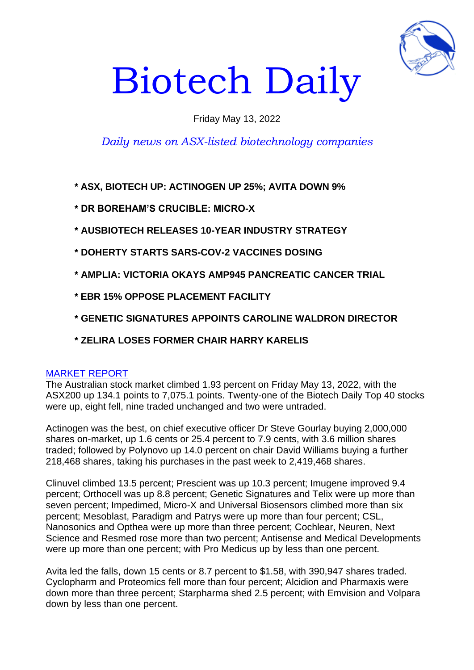

# Biotech Daily

# Friday May 13, 2022

# *Daily news on ASX-listed biotechnology companies*

**\* ASX, BIOTECH UP: ACTINOGEN UP 25%; AVITA DOWN 9%**

- **\* DR BOREHAM'S CRUCIBLE: MICRO-X**
- **\* AUSBIOTECH RELEASES 10-YEAR INDUSTRY STRATEGY**
- **\* DOHERTY STARTS SARS-COV-2 VACCINES DOSING**
- **\* AMPLIA: VICTORIA OKAYS AMP945 PANCREATIC CANCER TRIAL**
- **\* EBR 15% OPPOSE PLACEMENT FACILITY**
- **\* GENETIC SIGNATURES APPOINTS CAROLINE WALDRON DIRECTOR**
- **\* ZELIRA LOSES FORMER CHAIR HARRY KARELIS**

# MARKET REPORT

The Australian stock market climbed 1.93 percent on Friday May 13, 2022, with the ASX200 up 134.1 points to 7,075.1 points. Twenty-one of the Biotech Daily Top 40 stocks were up, eight fell, nine traded unchanged and two were untraded.

Actinogen was the best, on chief executive officer Dr Steve Gourlay buying 2,000,000 shares on-market, up 1.6 cents or 25.4 percent to 7.9 cents, with 3.6 million shares traded; followed by Polynovo up 14.0 percent on chair David Williams buying a further 218,468 shares, taking his purchases in the past week to 2,419,468 shares.

Clinuvel climbed 13.5 percent; Prescient was up 10.3 percent; Imugene improved 9.4 percent; Orthocell was up 8.8 percent; Genetic Signatures and Telix were up more than seven percent; Impedimed, Micro-X and Universal Biosensors climbed more than six percent; Mesoblast, Paradigm and Patrys were up more than four percent; CSL, Nanosonics and Opthea were up more than three percent; Cochlear, Neuren, Next Science and Resmed rose more than two percent; Antisense and Medical Developments were up more than one percent; with Pro Medicus up by less than one percent.

Avita led the falls, down 15 cents or 8.7 percent to \$1.58, with 390,947 shares traded. Cyclopharm and Proteomics fell more than four percent; Alcidion and Pharmaxis were down more than three percent; Starpharma shed 2.5 percent; with Emvision and Volpara down by less than one percent.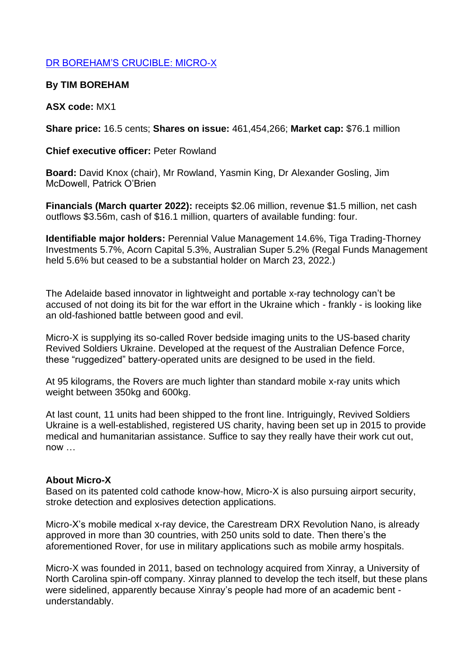# DR BOREHAM'S CRUCIBLE: MICRO-X

# **By TIM BOREHAM**

# **ASX code:** MX1

**Share price:** 16.5 cents; **Shares on issue:** 461,454,266; **Market cap:** \$76.1 million

**Chief executive officer:** Peter Rowland

**Board:** David Knox (chair), Mr Rowland, Yasmin King, Dr Alexander Gosling, Jim McDowell, Patrick O'Brien

**Financials (March quarter 2022):** receipts \$2.06 million, revenue \$1.5 million, net cash outflows \$3.56m, cash of \$16.1 million, quarters of available funding: four.

**Identifiable major holders:** Perennial Value Management 14.6%, Tiga Trading-Thorney Investments 5.7%, Acorn Capital 5.3%, Australian Super 5.2% (Regal Funds Management held 5.6% but ceased to be a substantial holder on March 23, 2022.)

The Adelaide based innovator in lightweight and portable x-ray technology can't be accused of not doing its bit for the war effort in the Ukraine which - frankly - is looking like an old-fashioned battle between good and evil.

Micro-X is supplying its so-called Rover bedside imaging units to the US-based charity Revived Soldiers Ukraine. Developed at the request of the Australian Defence Force, these "ruggedized" battery-operated units are designed to be used in the field.

At 95 kilograms, the Rovers are much lighter than standard mobile x-ray units which weight between 350kg and 600kg.

At last count, 11 units had been shipped to the front line. Intriguingly, Revived Soldiers Ukraine is a well-established, registered US charity, having been set up in 2015 to provide medical and humanitarian assistance. Suffice to say they really have their work cut out, now …

## **About Micro-X**

Based on its patented cold cathode know-how, Micro-X is also pursuing airport security, stroke detection and explosives detection applications.

Micro-X's mobile medical x-ray device, the Carestream DRX Revolution Nano, is already approved in more than 30 countries, with 250 units sold to date. Then there's the aforementioned Rover, for use in military applications such as mobile army hospitals.

Micro-X was founded in 2011, based on technology acquired from Xinray, a University of North Carolina spin-off company. Xinray planned to develop the tech itself, but these plans were sidelined, apparently because Xinray's people had more of an academic bent understandably.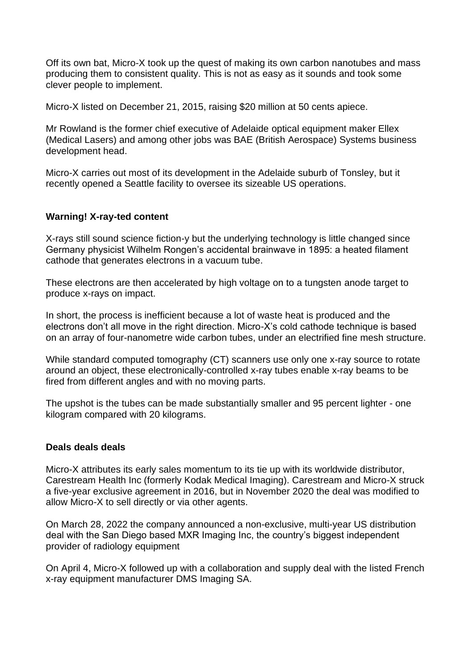Off its own bat, Micro-X took up the quest of making its own carbon nanotubes and mass producing them to consistent quality. This is not as easy as it sounds and took some clever people to implement.

Micro-X listed on December 21, 2015, raising \$20 million at 50 cents apiece.

Mr Rowland is the former chief executive of Adelaide optical equipment maker Ellex (Medical Lasers) and among other jobs was BAE (British Aerospace) Systems business development head.

Micro-X carries out most of its development in the Adelaide suburb of Tonsley, but it recently opened a Seattle facility to oversee its sizeable US operations.

## **Warning! X-ray-ted content**

X-rays still sound science fiction-y but the underlying technology is little changed since Germany physicist Wilhelm Rongen's accidental brainwave in 1895: a heated filament cathode that generates electrons in a vacuum tube.

These electrons are then accelerated by high voltage on to a tungsten anode target to produce x-rays on impact.

In short, the process is inefficient because a lot of waste heat is produced and the electrons don't all move in the right direction. Micro-X's cold cathode technique is based on an array of four-nanometre wide carbon tubes, under an electrified fine mesh structure.

While standard computed tomography (CT) scanners use only one x-ray source to rotate around an object, these electronically-controlled x-ray tubes enable x-ray beams to be fired from different angles and with no moving parts.

The upshot is the tubes can be made substantially smaller and 95 percent lighter - one kilogram compared with 20 kilograms.

#### **Deals deals deals**

Micro-X attributes its early sales momentum to its tie up with its worldwide distributor, Carestream Health Inc (formerly Kodak Medical Imaging). Carestream and Micro-X struck a five-year exclusive agreement in 2016, but in November 2020 the deal was modified to allow Micro-X to sell directly or via other agents.

On March 28, 2022 the company announced a non-exclusive, multi-year US distribution deal with the San Diego based MXR Imaging Inc, the country's biggest independent provider of radiology equipment

On April 4, Micro-X followed up with a collaboration and supply deal with the listed French x-ray equipment manufacturer DMS Imaging SA.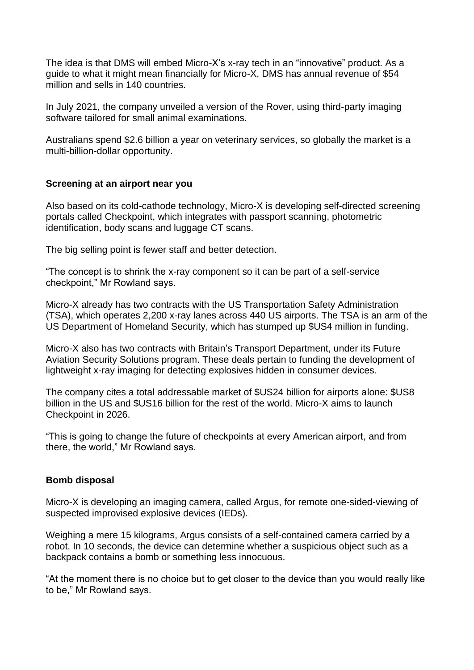The idea is that DMS will embed Micro-X's x-ray tech in an "innovative" product. As a guide to what it might mean financially for Micro-X, DMS has annual revenue of \$54 million and sells in 140 countries.

In July 2021, the company unveiled a version of the Rover, using third-party imaging software tailored for small animal examinations.

Australians spend \$2.6 billion a year on veterinary services, so globally the market is a multi-billion-dollar opportunity.

## **Screening at an airport near you**

Also based on its cold-cathode technology, Micro-X is developing self-directed screening portals called Checkpoint, which integrates with passport scanning, photometric identification, body scans and luggage CT scans.

The big selling point is fewer staff and better detection.

"The concept is to shrink the x-ray component so it can be part of a self-service checkpoint," Mr Rowland says.

Micro-X already has two contracts with the US Transportation Safety Administration (TSA), which operates 2,200 x-ray lanes across 440 US airports. The TSA is an arm of the US Department of Homeland Security, which has stumped up \$US4 million in funding.

Micro-X also has two contracts with Britain's Transport Department, under its Future Aviation Security Solutions program. These deals pertain to funding the development of lightweight x-ray imaging for detecting explosives hidden in consumer devices.

The company cites a total addressable market of \$US24 billion for airports alone: \$US8 billion in the US and \$US16 billion for the rest of the world. Micro-X aims to launch Checkpoint in 2026.

"This is going to change the future of checkpoints at every American airport, and from there, the world," Mr Rowland says.

#### **Bomb disposal**

Micro-X is developing an imaging camera, called Argus, for remote one-sided-viewing of suspected improvised explosive devices (IEDs).

Weighing a mere 15 kilograms, Argus consists of a self-contained camera carried by a robot. In 10 seconds, the device can determine whether a suspicious object such as a backpack contains a bomb or something less innocuous.

"At the moment there is no choice but to get closer to the device than you would really like to be," Mr Rowland says.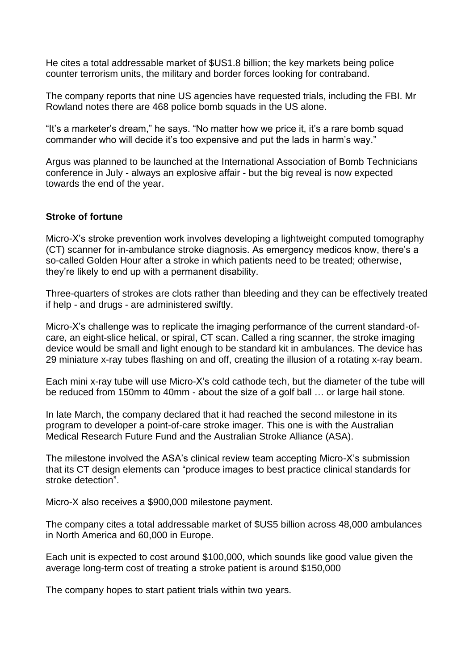He cites a total addressable market of \$US1.8 billion; the key markets being police counter terrorism units, the military and border forces looking for contraband.

The company reports that nine US agencies have requested trials, including the FBI. Mr Rowland notes there are 468 police bomb squads in the US alone.

"It's a marketer's dream," he says. "No matter how we price it, it's a rare bomb squad commander who will decide it's too expensive and put the lads in harm's way."

Argus was planned to be launched at the International Association of Bomb Technicians conference in July - always an explosive affair - but the big reveal is now expected towards the end of the year.

#### **Stroke of fortune**

Micro-X's stroke prevention work involves developing a lightweight computed tomography (CT) scanner for in-ambulance stroke diagnosis. As emergency medicos know, there's a so-called Golden Hour after a stroke in which patients need to be treated; otherwise, they're likely to end up with a permanent disability.

Three-quarters of strokes are clots rather than bleeding and they can be effectively treated if help - and drugs - are administered swiftly.

Micro-X's challenge was to replicate the imaging performance of the current standard-ofcare, an eight-slice helical, or spiral, CT scan. Called a ring scanner, the stroke imaging device would be small and light enough to be standard kit in ambulances. The device has 29 miniature x-ray tubes flashing on and off, creating the illusion of a rotating x-ray beam.

Each mini x-ray tube will use Micro-X's cold cathode tech, but the diameter of the tube will be reduced from 150mm to 40mm - about the size of a golf ball … or large hail stone.

In late March, the company declared that it had reached the second milestone in its program to developer a point-of-care stroke imager. This one is with the Australian Medical Research Future Fund and the Australian Stroke Alliance (ASA).

The milestone involved the ASA's clinical review team accepting Micro-X's submission that its CT design elements can "produce images to best practice clinical standards for stroke detection".

Micro-X also receives a \$900,000 milestone payment.

The company cites a total addressable market of \$US5 billion across 48,000 ambulances in North America and 60,000 in Europe.

Each unit is expected to cost around \$100,000, which sounds like good value given the average long-term cost of treating a stroke patient is around \$150,000

The company hopes to start patient trials within two years.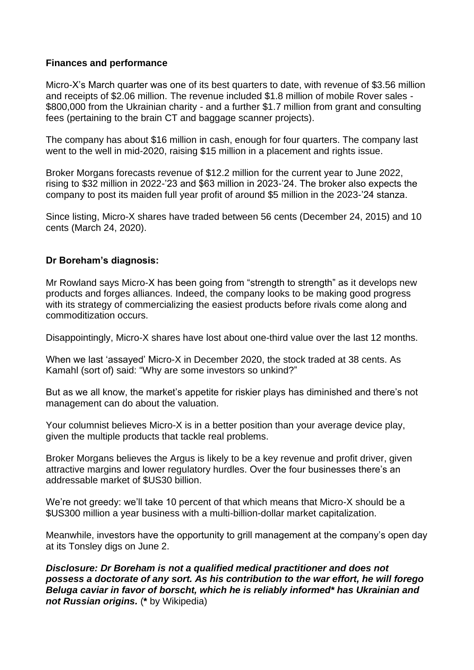## **Finances and performance**

Micro-X's March quarter was one of its best quarters to date, with revenue of \$3.56 million and receipts of \$2.06 million. The revenue included \$1.8 million of mobile Rover sales - \$800,000 from the Ukrainian charity - and a further \$1.7 million from grant and consulting fees (pertaining to the brain CT and baggage scanner projects).

The company has about \$16 million in cash, enough for four quarters. The company last went to the well in mid-2020, raising \$15 million in a placement and rights issue.

Broker Morgans forecasts revenue of \$12.2 million for the current year to June 2022, rising to \$32 million in 2022-'23 and \$63 million in 2023-'24. The broker also expects the company to post its maiden full year profit of around \$5 million in the 2023-'24 stanza.

Since listing, Micro-X shares have traded between 56 cents (December 24, 2015) and 10 cents (March 24, 2020).

## **Dr Boreham's diagnosis:**

Mr Rowland says Micro-X has been going from "strength to strength" as it develops new products and forges alliances. Indeed, the company looks to be making good progress with its strategy of commercializing the easiest products before rivals come along and commoditization occurs.

Disappointingly, Micro-X shares have lost about one-third value over the last 12 months.

When we last 'assayed' Micro-X in December 2020, the stock traded at 38 cents. As Kamahl (sort of) said: "Why are some investors so unkind?"

But as we all know, the market's appetite for riskier plays has diminished and there's not management can do about the valuation.

Your columnist believes Micro-X is in a better position than your average device play, given the multiple products that tackle real problems.

Broker Morgans believes the Argus is likely to be a key revenue and profit driver, given attractive margins and lower regulatory hurdles. Over the four businesses there's an addressable market of \$US30 billion.

We're not greedy: we'll take 10 percent of that which means that Micro-X should be a \$US300 million a year business with a multi-billion-dollar market capitalization.

Meanwhile, investors have the opportunity to grill management at the company's open day at its Tonsley digs on June 2.

*Disclosure: Dr Boreham is not a qualified medical practitioner and does not possess a doctorate of any sort. As his contribution to the war effort, he will forego Beluga caviar in favor of borscht, which he is reliably informed\* has Ukrainian and not Russian origins.* (**\*** by Wikipedia)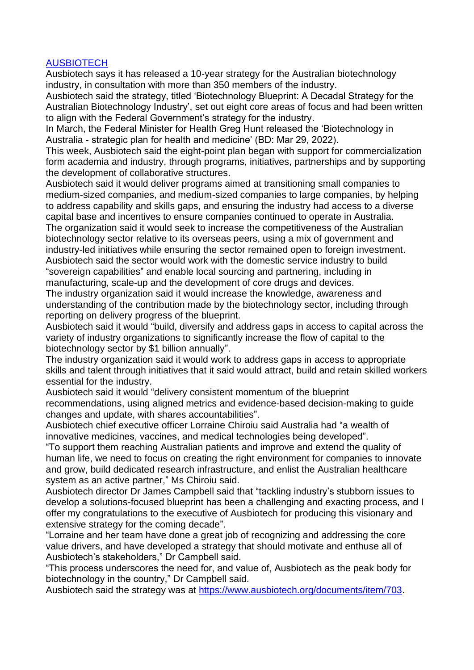## **AUSBIOTECH**

Ausbiotech says it has released a 10-year strategy for the Australian biotechnology industry, in consultation with more than 350 members of the industry.

Ausbiotech said the strategy, titled 'Biotechnology Blueprint: A Decadal Strategy for the Australian Biotechnology Industry', set out eight core areas of focus and had been written to align with the Federal Government's strategy for the industry.

In March, the Federal Minister for Health Greg Hunt released the 'Biotechnology in Australia - strategic plan for health and medicine' (BD: Mar 29, 2022).

This week, Ausbiotech said the eight-point plan began with support for commercialization form academia and industry, through programs, initiatives, partnerships and by supporting the development of collaborative structures.

Ausbiotech said it would deliver programs aimed at transitioning small companies to medium-sized companies, and medium-sized companies to large companies, by helping to address capability and skills gaps, and ensuring the industry had access to a diverse capital base and incentives to ensure companies continued to operate in Australia.

The organization said it would seek to increase the competitiveness of the Australian biotechnology sector relative to its overseas peers, using a mix of government and industry-led initiatives while ensuring the sector remained open to foreign investment. Ausbiotech said the sector would work with the domestic service industry to build "sovereign capabilities" and enable local sourcing and partnering, including in manufacturing, scale-up and the development of core drugs and devices.

The industry organization said it would increase the knowledge, awareness and understanding of the contribution made by the biotechnology sector, including through reporting on delivery progress of the blueprint.

Ausbiotech said it would "build, diversify and address gaps in access to capital across the variety of industry organizations to significantly increase the flow of capital to the biotechnology sector by \$1 billion annually".

The industry organization said it would work to address gaps in access to appropriate skills and talent through initiatives that it said would attract, build and retain skilled workers essential for the industry.

Ausbiotech said it would "delivery consistent momentum of the blueprint recommendations, using aligned metrics and evidence-based decision-making to guide changes and update, with shares accountabilities".

Ausbiotech chief executive officer Lorraine Chiroiu said Australia had "a wealth of innovative medicines, vaccines, and medical technologies being developed".

"To support them reaching Australian patients and improve and extend the quality of human life, we need to focus on creating the right environment for companies to innovate and grow, build dedicated research infrastructure, and enlist the Australian healthcare system as an active partner," Ms Chiroiu said.

Ausbiotech director Dr James Campbell said that "tackling industry's stubborn issues to develop a solutions-focused blueprint has been a challenging and exacting process, and I offer my congratulations to the executive of Ausbiotech for producing this visionary and extensive strategy for the coming decade".

"Lorraine and her team have done a great job of recognizing and addressing the core value drivers, and have developed a strategy that should motivate and enthuse all of Ausbiotech's stakeholders," Dr Campbell said.

"This process underscores the need for, and value of, Ausbiotech as the peak body for biotechnology in the country," Dr Campbell said.

Ausbiotech said the strategy was at [https://www.ausbiotech.org/documents/item/703.](https://www.ausbiotech.org/documents/item/703)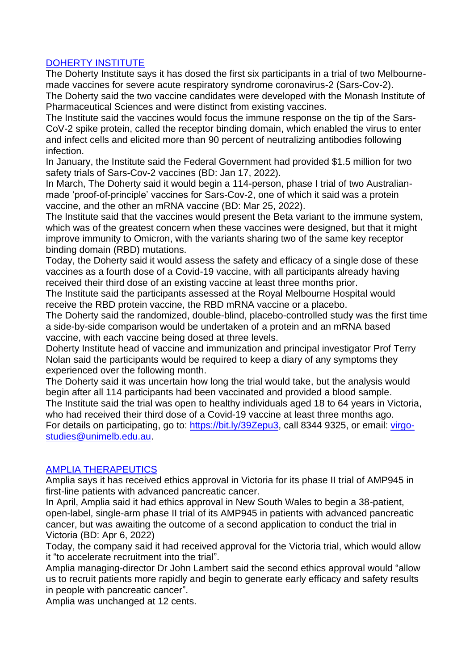# DOHERTY INSTITUTE

The Doherty Institute says it has dosed the first six participants in a trial of two Melbournemade vaccines for severe acute respiratory syndrome coronavirus-2 (Sars-Cov-2). The Doherty said the two vaccine candidates were developed with the Monash Institute of

Pharmaceutical Sciences and were distinct from existing vaccines.

The Institute said the vaccines would focus the immune response on the tip of the Sars-CoV-2 spike protein, called the receptor binding domain, which enabled the virus to enter and infect cells and elicited more than 90 percent of neutralizing antibodies following infection.

In January, the Institute said the Federal Government had provided \$1.5 million for two safety trials of Sars-Cov-2 vaccines (BD: Jan 17, 2022).

In March, The Doherty said it would begin a 114-person, phase I trial of two Australianmade 'proof-of-principle' vaccines for Sars-Cov-2, one of which it said was a protein vaccine, and the other an mRNA vaccine (BD: Mar 25, 2022).

The Institute said that the vaccines would present the Beta variant to the immune system, which was of the greatest concern when these vaccines were designed, but that it might improve immunity to Omicron, with the variants sharing two of the same key receptor binding domain (RBD) mutations.

Today, the Doherty said it would assess the safety and efficacy of a single dose of these vaccines as a fourth dose of a Covid-19 vaccine, with all participants already having received their third dose of an existing vaccine at least three months prior.

The Institute said the participants assessed at the Royal Melbourne Hospital would receive the RBD protein vaccine, the RBD mRNA vaccine or a placebo.

The Doherty said the randomized, double-blind, placebo-controlled study was the first time a side-by-side comparison would be undertaken of a protein and an mRNA based vaccine, with each vaccine being dosed at three levels.

Doherty Institute head of vaccine and immunization and principal investigator Prof Terry Nolan said the participants would be required to keep a diary of any symptoms they experienced over the following month.

The Doherty said it was uncertain how long the trial would take, but the analysis would begin after all 114 participants had been vaccinated and provided a blood sample. The Institute said the trial was open to healthy individuals aged 18 to 64 years in Victoria, who had received their third dose of a Covid-19 vaccine at least three months ago. For details on participating, go to: [https://bit.ly/39Zepu3,](https://bit.ly/39Zepu3) call 8344 9325, or email: [virgo](mailto:virgo-studies@unimelb.edu.au)[studies@unimelb.edu.au.](mailto:virgo-studies@unimelb.edu.au)

# AMPLIA THERAPEUTICS

Amplia says it has received ethics approval in Victoria for its phase II trial of AMP945 in first-line patients with advanced pancreatic cancer.

In April, Amplia said it had ethics approval in New South Wales to begin a 38-patient, open-label, single-arm phase II trial of its AMP945 in patients with advanced pancreatic cancer, but was awaiting the outcome of a second application to conduct the trial in Victoria (BD: Apr 6, 2022)

Today, the company said it had received approval for the Victoria trial, which would allow it "to accelerate recruitment into the trial".

Amplia managing-director Dr John Lambert said the second ethics approval would "allow us to recruit patients more rapidly and begin to generate early efficacy and safety results in people with pancreatic cancer".

Amplia was unchanged at 12 cents.